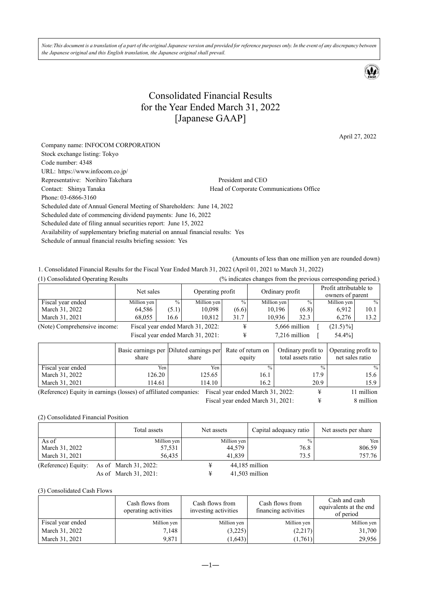*Note:This document is a translation of a part of the original Japanese version and provided for reference purposes only. In the event of any discrepancy between the Japanese original and this English translation, the Japanese original shall prevail.* 

# Consolidated Financial Results for the Year Ended March 31, 2022 [Japanese GAAP]

April 27, 2022

| Company name: INFOCOM CORPORATION                                                |                                         |
|----------------------------------------------------------------------------------|-----------------------------------------|
| Stock exchange listing: Tokyo                                                    |                                         |
| Code number: 4348                                                                |                                         |
| URL: https://www.infocom.co.jp/                                                  |                                         |
| Representative: Norihiro Takehara                                                | President and CEO                       |
| Contact: Shinya Tanaka                                                           | Head of Corporate Communications Office |
| Phone: 03-6866-3160                                                              |                                         |
| Scheduled date of Annual General Meeting of Shareholders: June 14, 2022          |                                         |
| Scheduled date of commencing dividend payments: June 16, 2022                    |                                         |
| Scheduled date of filing annual securities report: June 15, 2022                 |                                         |
| Availability of supplementary briefing material on annual financial results: Yes |                                         |
| Schedule of annual financial results briefing session: Yes                       |                                         |
|                                                                                  |                                         |

(Amounts of less than one million yen are rounded down)

1. Consolidated Financial Results for the Fiscal Year Ended March 31, 2022 (April 01, 2021 to March 31, 2022)

| (1) Consolidated Operating Results |               |                  |                                                                        |                 |               |                                               |                                                               |
|------------------------------------|---------------|------------------|------------------------------------------------------------------------|-----------------|---------------|-----------------------------------------------|---------------------------------------------------------------|
| Net sales                          |               | Operating profit |                                                                        | Ordinary profit |               | Profit attributable to<br>owners of parent    |                                                               |
| Million yen                        | $\frac{0}{0}$ | Million yen      | $^{0}/_{0}$                                                            |                 | $\frac{0}{0}$ | Million yen                                   | $\%$                                                          |
| 64,586                             | (5.1)         | 10,098           |                                                                        | 10,196          | (6.8)         | 6,912                                         | 10.1                                                          |
| 68,055                             | 16.6          | 10,812           | 31.7                                                                   | 10,936          | 32.3          | 6,276                                         | 13.2                                                          |
|                                    |               |                  |                                                                        |                 |               | $(21.5)\%$                                    |                                                               |
|                                    |               |                  |                                                                        |                 |               | 54.4%]                                        |                                                               |
|                                    |               |                  | Fiscal year ended March 31, 2022:<br>Fiscal year ended March 31, 2021: |                 | (6.6)         | Million yen<br>5,666 million<br>7,216 million | (% indicates changes from the previous corresponding period.) |

|                                                                                                                 | share  | Basic earnings per Diluted earnings per<br>share | Rate of return on<br>equity | Ordinary profit to<br>total assets ratio | Operating profit to<br>net sales ratio |  |
|-----------------------------------------------------------------------------------------------------------------|--------|--------------------------------------------------|-----------------------------|------------------------------------------|----------------------------------------|--|
| Fiscal year ended                                                                                               | Yen:   | Yen:                                             | $\frac{0}{0}$               | $\frac{0}{0}$                            | $\frac{0}{0}$                          |  |
| March 31, 2022                                                                                                  | 126.20 | 125.65                                           | 16.1                        | 17.9                                     | 15.6                                   |  |
| March 31, 2021                                                                                                  | 114.61 | 114.10                                           | 16.2                        | 20.9                                     | 15.9                                   |  |
| (Reference) Equity in earnings (losses) of affiliated companies: Fiscal year ended March 31, 2022:<br>1 million |        |                                                  |                             |                                          |                                        |  |

Fiscal year ended March 31, 2021:  $\qquad \qquad \frac{4}{3}$  8 million

#### (2) Consolidated Financial Position

|                     | Total assets          | Net assets |             | Capital adequacy ratio | Net assets per share |
|---------------------|-----------------------|------------|-------------|------------------------|----------------------|
| As of               | Million yen           |            | Million yen | $\frac{0}{0}$          | Yen I                |
| March 31, 2022      | 57,531                |            | 44,579      | 76.8                   | 806.59               |
| March 31, 2021      | 56,435                |            | 41,839      | 73.5                   | 757.76               |
| (Reference) Equity: | As of March 31, 2022: |            |             | 44,185 million         |                      |
|                     | As of March 31, 2021: |            |             | $41,503$ million       |                      |

(3) Consolidated Cash Flows

|                   | Cash flows from<br>operating activities | Cash flows from<br>investing activities | Cash flows from<br>financing activities | Cash and cash<br>equivalents at the end<br>of period |
|-------------------|-----------------------------------------|-----------------------------------------|-----------------------------------------|------------------------------------------------------|
| Fiscal year ended | Million yen                             | Million yen                             | Million yen                             | Million yen                                          |
| March 31, 2022    | 7,148                                   | (3,225)                                 | (2,217)                                 | 31,700                                               |
| March 31, 2021    | 9.871                                   | (1,643)                                 | (1,761)                                 | 29,956                                               |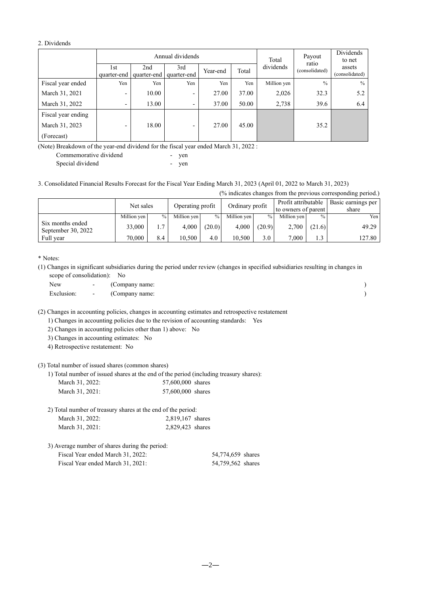#### 2. Dividends

|                    |                    | Annual dividends   |                          |          |                    | Total       | Payout                  | Dividends<br>to net      |
|--------------------|--------------------|--------------------|--------------------------|----------|--------------------|-------------|-------------------------|--------------------------|
|                    | 1st<br>quarter-end | 2nd<br>quarter-end | 3rd<br>quarter-end       | Year-end | dividends<br>Total |             | ratio<br>(consolidated) | assets<br>(consolidated) |
| Fiscal year ended  | Yen                | Yen                | Yen                      | Yen      | Yen                | Million yen | $\frac{0}{0}$           | $\%$                     |
| March 31, 2021     | -                  | 10.00              | -                        | 27.00    | 37.00              | 2,026       | 32.3                    | 5.2                      |
| March 31, 2022     | -                  | 13.00              | $\overline{\phantom{0}}$ | 37.00    | 50.00              | 2,738       | 39.6                    | 6.4                      |
| Fiscal year ending |                    |                    |                          |          |                    |             |                         |                          |
| March 31, 2023     | -                  | 18.00              | -                        | 27.00    | 45.00              |             | 35.2                    |                          |
| (Forecast)         |                    |                    |                          |          |                    |             |                         |                          |

(Note) Breakdown of the year-end dividend for the fiscal year ended March 31, 2022 :

| Commemorative dividend | ven |
|------------------------|-----|
| Special dividend       | ven |

### 3. Consolidated Financial Results Forecast for the Fiscal Year Ending March 31, 2023 (April 01, 2022 to March 31, 2023)

(% indicates changes from the previous corresponding period.)

|                                        | Net sales<br>Operating profit |               | Ordinary profit |               | Profit attributable<br>to owners of parent |               | Basic earnings per<br>share |               |        |
|----------------------------------------|-------------------------------|---------------|-----------------|---------------|--------------------------------------------|---------------|-----------------------------|---------------|--------|
|                                        | Million yen                   | $\frac{0}{0}$ | Million ven     | $\frac{0}{0}$ | Million ven                                | $\frac{0}{0}$ | Million ven                 | $\frac{0}{0}$ | Yen    |
| Six months ended<br>September 30, 2022 | 33,000                        | 1.7           | 4.000           | (20.0)        | 4.000                                      | (20.9)        | 2.700                       | (21.6)        | 49.29  |
| Full year                              | 70,000                        | 8.4           | 10.500          | 4.0           | 10.500                                     | 3.0           | 7.000                       | 1.3           | 127.80 |

\* Notes:

(1) Changes in significant subsidiaries during the period under review (changes in specified subsidiaries resulting in changes in scope of consolidation): No

| New        | $\overline{\phantom{0}}$       | (Company name: |  |
|------------|--------------------------------|----------------|--|
| Exclusion: | <b>Contract Contract State</b> | (Company name: |  |

(2) Changes in accounting policies, changes in accounting estimates and retrospective restatement

1) Changes in accounting policies due to the revision of accounting standards: Yes

2) Changes in accounting policies other than 1) above: No

3) Changes in accounting estimates: No

4) Retrospective restatement: No

(3) Total number of issued shares (common shares)

1) Total number of issued shares at the end of the period (including treasury shares):

| March 31, 2022: | 57,600,000 shares |  |
|-----------------|-------------------|--|
| March 31, 2021: | 57,600,000 shares |  |

| 2) Total number of treasury shares at the end of the period: |                  |  |  |  |
|--------------------------------------------------------------|------------------|--|--|--|
| March 31, 2022:                                              | 2,819,167 shares |  |  |  |
| March 31, 2021:                                              | 2,829,423 shares |  |  |  |

| 3) Average number of shares during the period: |                   |  |
|------------------------------------------------|-------------------|--|
| Fiscal Year ended March 31, 2022:              | 54,774,659 shares |  |
| Fiscal Year ended March 31, 2021:              | 54,759,562 shares |  |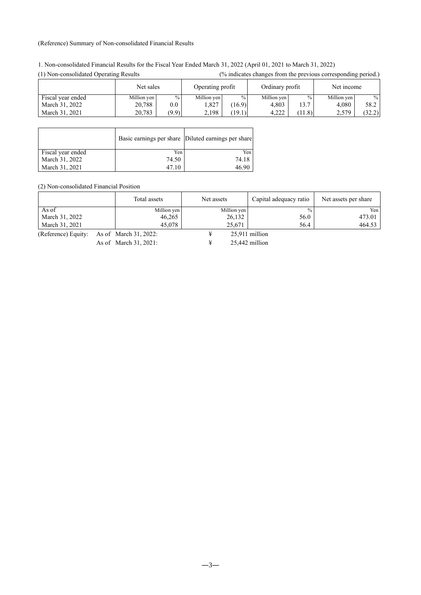#### (Reference) Summary of Non-consolidated Financial Results

| 1.1.1.011.00110011.000100<br>$\sim$ $\mu$ . $\ldots$ $\sim$ $\sim$ $\sim$ $\sim$ $\ldots$ |             |         |                  |               |             |                 | $\sim$ marriage changes from the previous corresponding periodic |            |  |
|-------------------------------------------------------------------------------------------|-------------|---------|------------------|---------------|-------------|-----------------|------------------------------------------------------------------|------------|--|
|                                                                                           | Net sales   |         | Operating profit |               |             | Ordinary profit |                                                                  | Net income |  |
| Fiscal year ended                                                                         | Million yen | $\%$    | Million yen      | $\frac{0}{0}$ | Million yen | $\frac{0}{0}$   | Million yen                                                      | $\%$       |  |
| March 31, 2022                                                                            | 20.788      | $0.0\,$ | .327             | 16.9          | 4.803       | 13.7            | 4.080                                                            | 58.2       |  |
| March 31, 2021                                                                            | 20.783      | (9.9)   | 2,198            | (19.1)        | 4.222       | (11.8)          | 2,579                                                            | (32.2)     |  |

(1) Non-consolidated Operating Results (% indicates changes from the previous corresponding period.)

|                   |       | Basic earnings per share Diluted earnings per share |
|-------------------|-------|-----------------------------------------------------|
| Fiscal year ended | Yen   | Yen                                                 |
| March 31, 2022    | 74.50 | 74.18                                               |
| March 31, 2021    | 47.10 | 46 90                                               |

(2) Non-consolidated Financial Position

|                | Total assets | Net assets  | Capital adequacy ratio | Net assets per share |  |
|----------------|--------------|-------------|------------------------|----------------------|--|
| As of          | Million yen  | Million yen | $\frac{0}{0}$          | Yen                  |  |
| March 31, 2022 | 46.265       | 26,132      | 56.0                   | 473.01               |  |
| March 31, 2021 | 45.078       | 25,671      | 56.4                   | 464.53               |  |

(Reference) Equity: As of March 31, 2022:  $\qquad \qquad \text{#} \qquad \qquad$  25,911 million

As of March 31, 2021: ¥ 25,442 million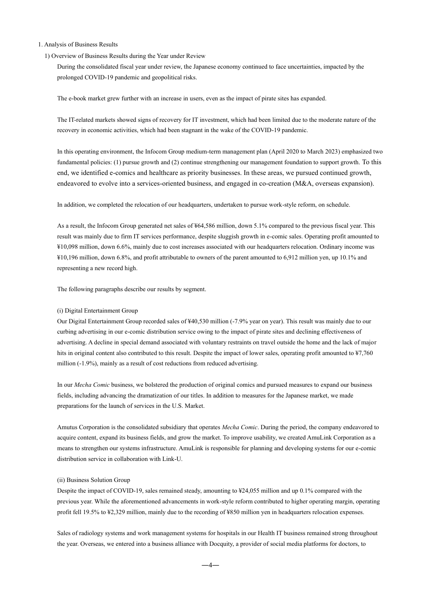#### 1. Analysis of Business Results

#### 1) Overview of Business Results during the Year under Review

During the consolidated fiscal year under review, the Japanese economy continued to face uncertainties, impacted by the prolonged COVID-19 pandemic and geopolitical risks.

The e-book market grew further with an increase in users, even as the impact of pirate sites has expanded.

The IT-related markets showed signs of recovery for IT investment, which had been limited due to the moderate nature of the recovery in economic activities, which had been stagnant in the wake of the COVID-19 pandemic.

In this operating environment, the Infocom Group medium-term management plan (April 2020 to March 2023) emphasized two fundamental policies: (1) pursue growth and (2) continue strengthening our management foundation to support growth. To this end, we identified e-comics and healthcare as priority businesses. In these areas, we pursued continued growth, endeavored to evolve into a services-oriented business, and engaged in co-creation (M&A, overseas expansion).

In addition, we completed the relocation of our headquarters, undertaken to pursue work-style reform, on schedule.

As a result, the Infocom Group generated net sales of ¥64,586 million, down 5.1% compared to the previous fiscal year. This result was mainly due to firm IT services performance, despite sluggish growth in e-comic sales. Operating profit amounted to ¥10,098 million, down 6.6%, mainly due to cost increases associated with our headquarters relocation. Ordinary income was ¥10,196 million, down 6.8%, and profit attributable to owners of the parent amounted to 6,912 million yen, up 10.1% and representing a new record high.

The following paragraphs describe our results by segment.

#### (i) Digital Entertainment Group

Our Digital Entertainment Group recorded sales of ¥40,530 million (-7.9% year on year). This result was mainly due to our curbing advertising in our e-comic distribution service owing to the impact of pirate sites and declining effectiveness of advertising. A decline in special demand associated with voluntary restraints on travel outside the home and the lack of major hits in original content also contributed to this result. Despite the impact of lower sales, operating profit amounted to ¥7,760 million (-1.9%), mainly as a result of cost reductions from reduced advertising.

In our *Mecha Comic* business, we bolstered the production of original comics and pursued measures to expand our business fields, including advancing the dramatization of our titles. In addition to measures for the Japanese market, we made preparations for the launch of services in the U.S. Market.

Amutus Corporation is the consolidated subsidiary that operates *Mecha Comic*. During the period, the company endeavored to acquire content, expand its business fields, and grow the market. To improve usability, we created AmuLink Corporation as a means to strengthen our systems infrastructure. AmuLink is responsible for planning and developing systems for our e-comic distribution service in collaboration with Link-U.

#### (ii) Business Solution Group

Despite the impact of COVID-19, sales remained steady, amounting to ¥24,055 million and up 0.1% compared with the previous year. While the aforementioned advancements in work-style reform contributed to higher operating margin, operating profit fell 19.5% to ¥2,329 million, mainly due to the recording of ¥850 million yen in headquarters relocation expenses.

Sales of radiology systems and work management systems for hospitals in our Health IT business remained strong throughout the year. Overseas, we entered into a business alliance with Docquity, a provider of social media platforms for doctors, to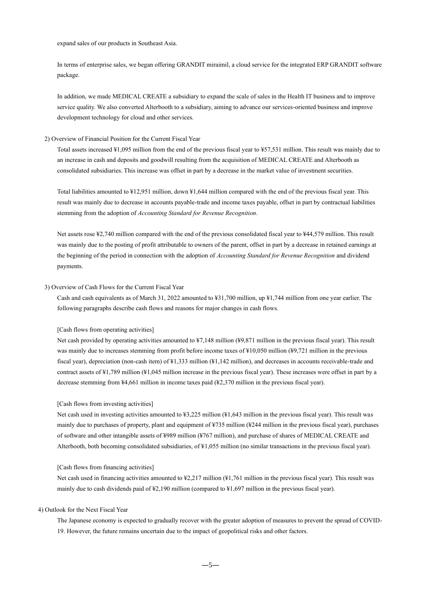expand sales of our products in Southeast Asia.

In terms of enterprise sales, we began offering GRANDIT miraimil, a cloud service for the integrated ERP GRANDIT software package.

In addition, we made MEDICAL CREATE a subsidiary to expand the scale of sales in the Health IT business and to improve service quality. We also converted Alterbooth to a subsidiary, aiming to advance our services-oriented business and improve development technology for cloud and other services.

#### 2) Overview of Financial Position for the Current Fiscal Year

Total assets increased ¥1,095 million from the end of the previous fiscal year to ¥57,531 million. This result was mainly due to an increase in cash and deposits and goodwill resulting from the acquisition of MEDICAL CREATE and Alterbooth as consolidated subsidiaries. This increase was offset in part by a decrease in the market value of investment securities.

Total liabilities amounted to ¥12,951 million, down ¥1,644 million compared with the end of the previous fiscal year. This result was mainly due to decrease in accounts payable-trade and income taxes payable, offset in part by contractual liabilities stemming from the adoption of *Accounting Standard for Revenue Recognition*.

Net assets rose ¥2,740 million compared with the end of the previous consolidated fiscal year to ¥44,579 million. This result was mainly due to the posting of profit attributable to owners of the parent, offset in part by a decrease in retained earnings at the beginning of the period in connection with the adoption of *Accounting Standard for Revenue Recognition* and dividend payments.

#### 3) Overview of Cash Flows for the Current Fiscal Year

Cash and cash equivalents as of March 31, 2022 amounted to ¥31,700 million, up ¥1,744 million from one year earlier. The following paragraphs describe cash flows and reasons for major changes in cash flows.

#### [Cash flows from operating activities]

Net cash provided by operating activities amounted to ¥7,148 million (¥9,871 million in the previous fiscal year). This result was mainly due to increases stemming from profit before income taxes of ¥10,050 million (¥9,721 million in the previous fiscal year), depreciation (non-cash item) of ¥1,333 million (¥1,142 million), and decreases in accounts receivable-trade and contract assets of ¥1,789 million (¥1,045 million increase in the previous fiscal year). These increases were offset in part by a decrease stemming from ¥4,661 million in income taxes paid (¥2,370 million in the previous fiscal year).

#### [Cash flows from investing activities]

Net cash used in investing activities amounted to ¥3,225 million (¥1,643 million in the previous fiscal year). This result was mainly due to purchases of property, plant and equipment of ¥735 million (¥244 million in the previous fiscal year), purchases of software and other intangible assets of ¥989 million (¥767 million), and purchase of shares of MEDICAL CREATE and Alterbooth, both becoming consolidated subsidiaries, of ¥1,055 million (no similar transactions in the previous fiscal year).

#### [Cash flows from financing activities]

Net cash used in financing activities amounted to ¥2,217 million (¥1,761 million in the previous fiscal year). This result was mainly due to cash dividends paid of ¥2,190 million (compared to ¥1,697 million in the previous fiscal year).

#### 4) Outlook for the Next Fiscal Year

The Japanese economy is expected to gradually recover with the greater adoption of measures to prevent the spread of COVID-19. However, the future remains uncertain due to the impact of geopolitical risks and other factors.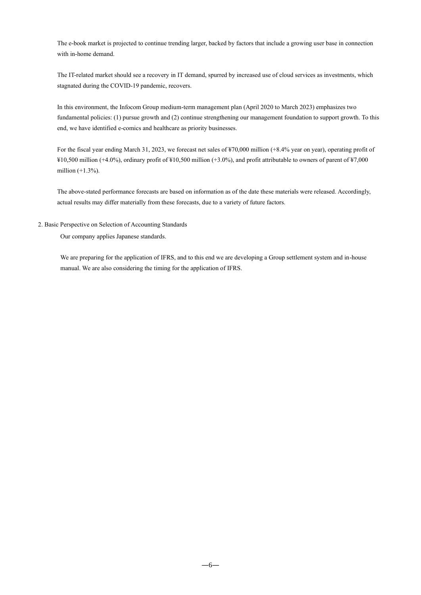The e-book market is projected to continue trending larger, backed by factors that include a growing user base in connection with in-home demand.

The IT-related market should see a recovery in IT demand, spurred by increased use of cloud services as investments, which stagnated during the COVID-19 pandemic, recovers.

In this environment, the Infocom Group medium-term management plan (April 2020 to March 2023) emphasizes two fundamental policies: (1) pursue growth and (2) continue strengthening our management foundation to support growth. To this end, we have identified e-comics and healthcare as priority businesses.

For the fiscal year ending March 31, 2023, we forecast net sales of ¥70,000 million (+8.4% year on year), operating profit of ¥10,500 million (+4.0%), ordinary profit of ¥10,500 million (+3.0%), and profit attributable to owners of parent of ¥7,000 million  $(+1.3%)$ .

The above-stated performance forecasts are based on information as of the date these materials were released. Accordingly, actual results may differ materially from these forecasts, due to a variety of future factors.

2. Basic Perspective on Selection of Accounting Standards

Our company applies Japanese standards.

We are preparing for the application of IFRS, and to this end we are developing a Group settlement system and in-house manual. We are also considering the timing for the application of IFRS.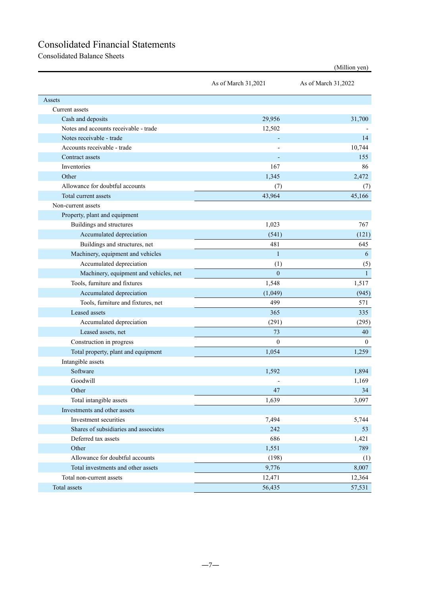# Consolidated Financial Statements

Consolidated Balance Sheets

|                                        | As of March 31,2021 | As of March 31,2022 |
|----------------------------------------|---------------------|---------------------|
| Assets                                 |                     |                     |
| Current assets                         |                     |                     |
| Cash and deposits                      | 29,956              | 31,700              |
| Notes and accounts receivable - trade  | 12,502              |                     |
| Notes receivable - trade               |                     | 14                  |
| Accounts receivable - trade            |                     | 10,744              |
| Contract assets                        |                     | 155                 |
| Inventories                            | 167                 | 86                  |
| Other                                  | 1,345               | 2,472               |
| Allowance for doubtful accounts        | (7)                 | (7)                 |
| Total current assets                   | 43,964              | 45,166              |
| Non-current assets                     |                     |                     |
| Property, plant and equipment          |                     |                     |
| Buildings and structures               | 1,023               | 767                 |
| Accumulated depreciation               | (541)               | (121)               |
| Buildings and structures, net          | 481                 | 645                 |
| Machinery, equipment and vehicles      | $\mathbf{1}$        | 6                   |
| Accumulated depreciation               | (1)                 | (5)                 |
| Machinery, equipment and vehicles, net | $\overline{0}$      | $\mathbf{1}$        |
| Tools, furniture and fixtures          | 1,548               | 1,517               |
| Accumulated depreciation               | (1,049)             | (945)               |
| Tools, furniture and fixtures, net     | 499                 | 571                 |
| Leased assets                          | 365                 | 335                 |
| Accumulated depreciation               | (291)               | (295)               |
| Leased assets, net                     | 73                  | 40                  |
| Construction in progress               | $\mathbf{0}$        | $\mathbf{0}$        |
| Total property, plant and equipment    | 1,054               | 1,259               |
| Intangible assets                      |                     |                     |
| Software                               | 1,592               | 1,894               |
| Goodwill                               |                     | 1,169               |
| Other                                  | 47                  | 34                  |
| Total intangible assets                | 1,639               | 3,097               |
| Investments and other assets           |                     |                     |
| Investment securities                  | 7,494               | 5,744               |
| Shares of subsidiaries and associates  | 242                 | 53                  |
| Deferred tax assets                    | 686                 | 1,421               |
| Other                                  | 1,551               | 789                 |
| Allowance for doubtful accounts        | (198)               | (1)                 |
| Total investments and other assets     | 9,776               | 8,007               |
| Total non-current assets               | 12,471              | 12,364              |
| Total assets                           | 56,435              | 57,531              |

(Million yen)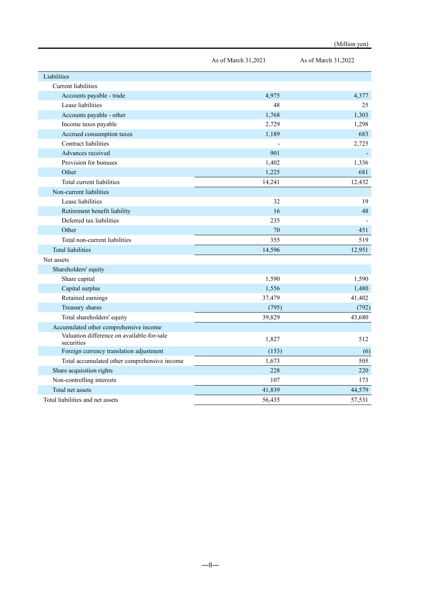|                                                          | As of March 31,2021 | As of March 31,2022 |
|----------------------------------------------------------|---------------------|---------------------|
| Liabilities                                              |                     |                     |
| Current liabilities                                      |                     |                     |
| Accounts payable - trade                                 | 4,975               | 4,377               |
| Lease liabilities                                        | 48                  | 25                  |
| Accounts payable - other                                 | 1,768               | 1.303               |
| Income taxes payable                                     | 2,729               | 1,298               |
| Accrued consumption taxes                                | 1,189               | 683                 |
| Contract liabilities                                     |                     | 2,725               |
| Advances received                                        | 901                 |                     |
| Provision for bonuses                                    | 1,402               | 1,336               |
| Other                                                    | 1,225               | 681                 |
| Total current liabilities                                | 14,241              | 12,432              |
| Non-current liabilities                                  |                     |                     |
| Lease liabilities                                        | 32                  | 19                  |
| Retirement benefit liability                             | 16                  | 48                  |
| Deferred tax liabilities                                 | 235                 |                     |
| Other                                                    | 70                  | 451                 |
| Total non-current liabilities                            | 355                 | 519                 |
| <b>Total liabilities</b>                                 | 14,596              | 12,951              |
| Net assets                                               |                     |                     |
| Shareholders' equity                                     |                     |                     |
| Share capital                                            | 1,590               | 1,590               |
| Capital surplus                                          | 1,556               | 1,480               |
| Retained earnings                                        | 37,479              | 41,402              |
| Treasury shares                                          | (795)               | (792)               |
| Total shareholders' equity                               | 39,829              | 43,680              |
| Accumulated other comprehensive income                   |                     |                     |
| Valuation difference on available-for-sale<br>securities | 1,827               | 512                 |
| Foreign currency translation adjustment                  | (153)               | (6)                 |
| Total accumulated other comprehensive income             | 1,673               | 505                 |
| Share acquisition rights                                 | 228                 | 220                 |
| Non-controlling interests                                | 107                 | 173                 |
| Total net assets                                         | 41,839              | 44,579              |
| Total liabilities and net assets                         | 56,435              | 57,531              |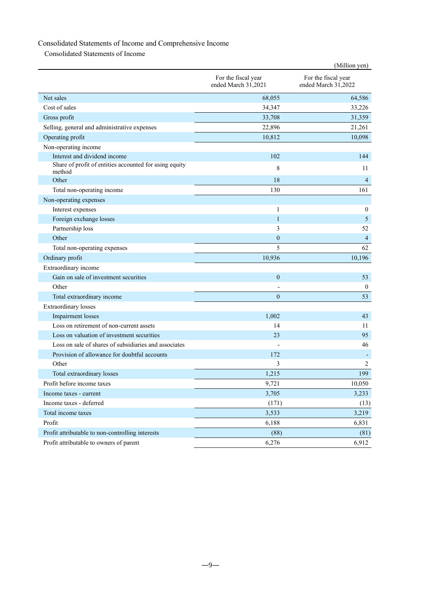# Consolidated Statements of Income and Comprehensive Income

Consolidated Statements of Income

|                                                                  |                                            | (Million yen)                              |
|------------------------------------------------------------------|--------------------------------------------|--------------------------------------------|
|                                                                  | For the fiscal year<br>ended March 31,2021 | For the fiscal year<br>ended March 31,2022 |
| Net sales                                                        | 68,055                                     | 64,586                                     |
| Cost of sales                                                    | 34,347                                     | 33,226                                     |
| Gross profit                                                     | 33,708                                     | 31,359                                     |
| Selling, general and administrative expenses                     | 22,896                                     | 21,261                                     |
| Operating profit                                                 | 10,812                                     | 10,098                                     |
| Non-operating income                                             |                                            |                                            |
| Interest and dividend income                                     | 102                                        | 144                                        |
| Share of profit of entities accounted for using equity<br>method | 8                                          | 11                                         |
| Other                                                            | 18                                         | 4                                          |
| Total non-operating income                                       | 130                                        | 161                                        |
| Non-operating expenses                                           |                                            |                                            |
| Interest expenses                                                | 1                                          | $\mathbf{0}$                               |
| Foreign exchange losses                                          | $\mathbf{1}$                               | 5                                          |
| Partnership loss                                                 | 3                                          | 52                                         |
| Other                                                            | $\boldsymbol{0}$                           | 4                                          |
| Total non-operating expenses                                     | 5                                          | 62                                         |
| Ordinary profit                                                  | 10,936                                     | 10,196                                     |
| Extraordinary income                                             |                                            |                                            |
| Gain on sale of investment securities                            | $\theta$                                   | 53                                         |
| Other                                                            |                                            | $\boldsymbol{0}$                           |
| Total extraordinary income                                       | $\mathbf{0}$                               | 53                                         |
| <b>Extraordinary losses</b>                                      |                                            |                                            |
| <b>Impairment</b> losses                                         | 1,002                                      | 43                                         |
| Loss on retirement of non-current assets                         | 14                                         | 11                                         |
| Loss on valuation of investment securities                       | 23                                         | 95                                         |
| Loss on sale of shares of subsidiaries and associates            |                                            | 46                                         |
| Provision of allowance for doubtful accounts                     | 172                                        |                                            |
| Other                                                            | 3                                          | 2                                          |
| Total extraordinary losses                                       | 1,215                                      | 199                                        |
| Profit before income taxes                                       | 9,721                                      | 10,050                                     |
| Income taxes - current                                           | 3,705                                      | 3,233                                      |
| Income taxes - deferred                                          | (171)                                      | (13)                                       |
| Total income taxes                                               | 3,533                                      | 3,219                                      |
| Profit                                                           | 6,188                                      | 6,831                                      |
| Profit attributable to non-controlling interests                 | (88)                                       | (81)                                       |
| Profit attributable to owners of parent                          | 6,276                                      | 6,912                                      |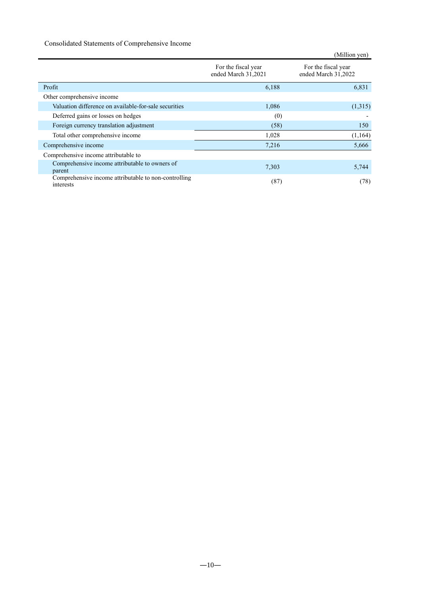### Consolidated Statements of Comprehensive Income

|                                                                   |                                            | (Million yen)                              |
|-------------------------------------------------------------------|--------------------------------------------|--------------------------------------------|
|                                                                   | For the fiscal year<br>ended March 31,2021 | For the fiscal year<br>ended March 31,2022 |
| Profit                                                            | 6,188                                      | 6,831                                      |
| Other comprehensive income                                        |                                            |                                            |
| Valuation difference on available-for-sale securities             | 1,086                                      | (1,315)                                    |
| Deferred gains or losses on hedges                                | (0)                                        |                                            |
| Foreign currency translation adjustment                           | (58)                                       | 150                                        |
| Total other comprehensive income                                  | 1,028                                      | (1,164)                                    |
| Comprehensive income                                              | 7,216                                      | 5,666                                      |
| Comprehensive income attributable to                              |                                            |                                            |
| Comprehensive income attributable to owners of<br>parent          | 7,303                                      | 5,744                                      |
| Comprehensive income attributable to non-controlling<br>interests | (87)                                       | (78)                                       |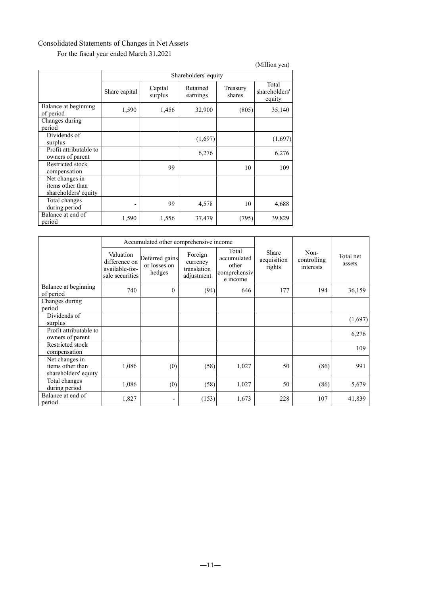# Consolidated Statements of Changes in Net Assets

For the fiscal year ended March 31,2021

|                                                            |                          |                      |                      |                    | (Million yen)                    |  |  |
|------------------------------------------------------------|--------------------------|----------------------|----------------------|--------------------|----------------------------------|--|--|
|                                                            |                          | Shareholders' equity |                      |                    |                                  |  |  |
|                                                            | Share capital            | Capital<br>surplus   | Retained<br>earnings | Treasury<br>shares | Total<br>shareholders'<br>equity |  |  |
| Balance at beginning<br>of period                          | 1,590                    | 1,456                | 32,900               | (805)              | 35,140                           |  |  |
| Changes during<br>period                                   |                          |                      |                      |                    |                                  |  |  |
| Dividends of<br>surplus                                    |                          |                      | (1,697)              |                    | (1,697)                          |  |  |
| Profit attributable to<br>owners of parent                 |                          |                      | 6,276                |                    | 6,276                            |  |  |
| Restricted stock<br>compensation                           |                          | 99                   |                      | 10                 | 109                              |  |  |
| Net changes in<br>items other than<br>shareholders' equity |                          |                      |                      |                    |                                  |  |  |
| Total changes<br>during period                             | $\overline{\phantom{0}}$ | 99                   | 4,578                | 10                 | 4,688                            |  |  |
| Balance at end of<br>period                                | 1,590                    | 1,556                | 37,479               | (795)              | 39,829                           |  |  |

|                                                            |                                                                 | Accumulated other comprehensive income   |                                                  |                                                           |                                |                                  |                     |
|------------------------------------------------------------|-----------------------------------------------------------------|------------------------------------------|--------------------------------------------------|-----------------------------------------------------------|--------------------------------|----------------------------------|---------------------|
|                                                            | Valuation<br>difference on<br>available-for-<br>sale securities | Deferred gains<br>or losses on<br>hedges | Foreign<br>currency<br>translation<br>adjustment | Total<br>accumulated<br>other<br>comprehensiv<br>e income | Share<br>acquisition<br>rights | Non-<br>controlling<br>interests | Total net<br>assets |
| Balance at beginning<br>of period                          | 740                                                             | $\mathbf{0}$                             | (94)                                             | 646                                                       | 177                            | 194                              | 36,159              |
| Changes during                                             |                                                                 |                                          |                                                  |                                                           |                                |                                  |                     |
| period                                                     |                                                                 |                                          |                                                  |                                                           |                                |                                  |                     |
| Dividends of<br>surplus                                    |                                                                 |                                          |                                                  |                                                           |                                |                                  | (1,697)             |
| Profit attributable to<br>owners of parent                 |                                                                 |                                          |                                                  |                                                           |                                |                                  | 6,276               |
| Restricted stock<br>compensation                           |                                                                 |                                          |                                                  |                                                           |                                |                                  | 109                 |
| Net changes in<br>items other than<br>shareholders' equity | 1,086                                                           | (0)                                      | (58)                                             | 1,027                                                     | 50                             | (86)                             | 991                 |
| Total changes<br>during period                             | 1,086                                                           | (0)                                      | (58)                                             | 1,027                                                     | 50                             | (86)                             | 5,679               |
| Balance at end of<br>period                                | 1,827                                                           | $\overline{\phantom{0}}$                 | (153)                                            | 1,673                                                     | 228                            | 107                              | 41,839              |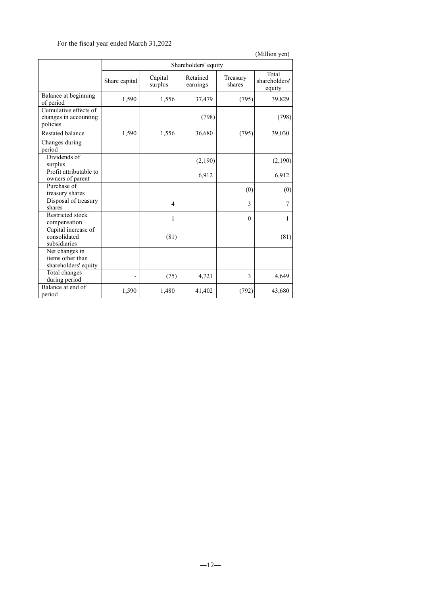# For the fiscal year ended March 31,2022

|                                                            |               |                      |                      |                    | (Million yen)                    |  |  |
|------------------------------------------------------------|---------------|----------------------|----------------------|--------------------|----------------------------------|--|--|
|                                                            |               | Shareholders' equity |                      |                    |                                  |  |  |
|                                                            | Share capital | Capital<br>surplus   | Retained<br>earnings | Treasury<br>shares | Total<br>shareholders'<br>equity |  |  |
| Balance at beginning<br>of period                          | 1,590         | 1,556                | 37,479               | (795)              | 39,829                           |  |  |
| Cumulative effects of<br>changes in accounting<br>policies |               |                      | (798)                |                    | (798)                            |  |  |
| <b>Restated balance</b>                                    | 1,590         | 1,556                | 36,680               | (795)              | 39,030                           |  |  |
| Changes during<br>period                                   |               |                      |                      |                    |                                  |  |  |
| Dividends of<br>surplus                                    |               |                      | (2,190)              |                    | (2,190)                          |  |  |
| Profit attributable to<br>owners of parent                 |               |                      | 6,912                |                    | 6,912                            |  |  |
| Purchase of<br>treasury shares                             |               |                      |                      | (0)                | (0)                              |  |  |
| Disposal of treasury<br>shares                             |               | $\overline{4}$       |                      | 3                  | $\overline{7}$                   |  |  |
| Restricted stock<br>compensation                           |               | 1                    |                      | $\theta$           | 1                                |  |  |
| Capital increase of<br>consolidated<br>subsidiaries        |               | (81)                 |                      |                    | (81)                             |  |  |
| Net changes in<br>items other than<br>shareholders' equity |               |                      |                      |                    |                                  |  |  |
| Total changes<br>during period                             |               | (75)                 | 4,721                | 3                  | 4,649                            |  |  |
| Balance at end of<br>period                                | 1,590         | 1,480                | 41,402               | (792)              | 43,680                           |  |  |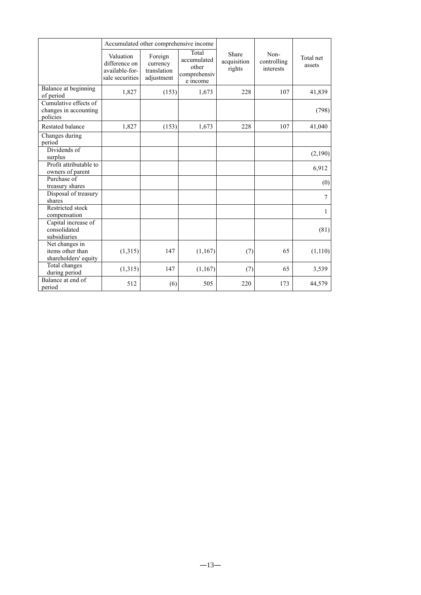|                                                            |                                                                 | Accumulated other comprehensive income           |                                                           |                                |                                  |                     |
|------------------------------------------------------------|-----------------------------------------------------------------|--------------------------------------------------|-----------------------------------------------------------|--------------------------------|----------------------------------|---------------------|
|                                                            | Valuation<br>difference on<br>available-for-<br>sale securities | Foreign<br>currency<br>translation<br>adjustment | Total<br>accumulated<br>other<br>comprehensiv<br>e income | Share<br>acquisition<br>rights | Non-<br>controlling<br>interests | Total net<br>assets |
| Balance at beginning<br>of period                          | 1,827                                                           | (153)                                            | 1,673                                                     | 228                            | 107                              | 41,839              |
| Cumulative effects of<br>changes in accounting<br>policies |                                                                 |                                                  |                                                           |                                |                                  | (798)               |
| <b>Restated balance</b>                                    | 1,827                                                           | (153)                                            | 1,673                                                     | 228                            | 107                              | 41,040              |
| Changes during<br>period                                   |                                                                 |                                                  |                                                           |                                |                                  |                     |
| Dividends of<br>surplus                                    |                                                                 |                                                  |                                                           |                                |                                  | (2,190)             |
| Profit attributable to<br>owners of parent                 |                                                                 |                                                  |                                                           |                                |                                  | 6,912               |
| Purchase of<br>treasury shares                             |                                                                 |                                                  |                                                           |                                |                                  | (0)                 |
| Disposal of treasury<br>shares                             |                                                                 |                                                  |                                                           |                                |                                  | 7                   |
| Restricted stock<br>compensation                           |                                                                 |                                                  |                                                           |                                |                                  | 1                   |
| Capital increase of<br>consolidated<br>subsidiaries        |                                                                 |                                                  |                                                           |                                |                                  | (81)                |
| Net changes in<br>items other than<br>shareholders' equity | (1,315)                                                         | 147                                              | (1,167)                                                   | (7)                            | 65                               | (1,110)             |
| Total changes<br>during period                             | (1,315)                                                         | 147                                              | (1,167)                                                   | (7)                            | 65                               | 3,539               |
| Balance at end of<br>period                                | 512                                                             | (6)                                              | 505                                                       | 220                            | 173                              | 44,579              |